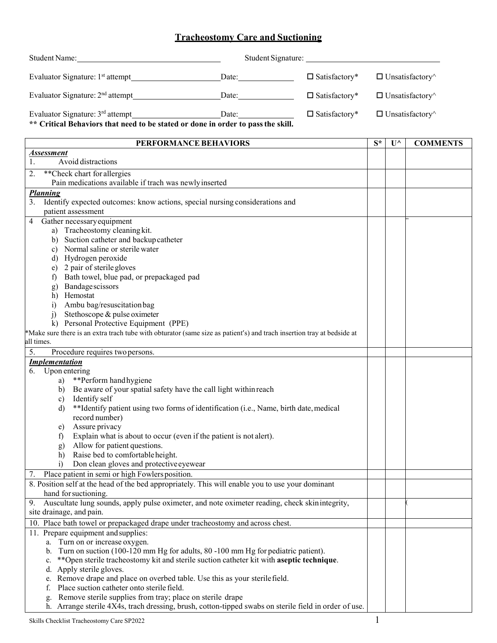## **Tracheostomy Care and Suctioning**

| <b>Student Name:</b>                         | Student Signature: |                      |                               |
|----------------------------------------------|--------------------|----------------------|-------------------------------|
| Evaluator Signature: 1 <sup>st</sup> attempt | Date:              | $\Box$ Satisfactory* | $\Box$ Unsatisfactory         |
| Evaluator Signature: $2nd$ attempt           | Date:              | $\Box$ Satisfactory* | $\Box$ Unsatisfactory $\land$ |
| Evaluator Signature: $3rd$ attempt           | Date:              | $\Box$ Satisfactory* | $\Box$ Unsatisfactory $\land$ |

**\*\* Critical Behaviors that need to be stated or done in order to passthe skill.**

| PERFORMANCE BEHAVIORS                                                                                                                                            | $S^*$ | $\mathbf{U}^{\wedge}$ | <b>COMMENTS</b> |
|------------------------------------------------------------------------------------------------------------------------------------------------------------------|-------|-----------------------|-----------------|
| Assessment                                                                                                                                                       |       |                       |                 |
| Avoid distractions<br>1.                                                                                                                                         |       |                       |                 |
| 2.<br>**Check chart for allergies                                                                                                                                |       |                       |                 |
| Pain medications available if trach was newly inserted                                                                                                           |       |                       |                 |
| <b>Planning</b>                                                                                                                                                  |       |                       |                 |
| 3.<br>Identify expected outcomes: know actions, special nursing considerations and                                                                               |       |                       |                 |
| patient assessment                                                                                                                                               |       |                       |                 |
| Gather necessary equipment<br>4                                                                                                                                  |       |                       |                 |
| a) Tracheostomy cleaning kit.                                                                                                                                    |       |                       |                 |
| b) Suction catheter and backup catheter                                                                                                                          |       |                       |                 |
| c) Normal saline or sterile water                                                                                                                                |       |                       |                 |
| d) Hydrogen peroxide                                                                                                                                             |       |                       |                 |
| 2 pair of sterile gloves<br>e)                                                                                                                                   |       |                       |                 |
| Bath towel, blue pad, or prepackaged pad<br>$\ddot{\phantom{1}}$                                                                                                 |       |                       |                 |
| Bandagescissors<br>g)                                                                                                                                            |       |                       |                 |
| Hemostat<br>h)                                                                                                                                                   |       |                       |                 |
| Ambu bag/resuscitation bag<br>i)                                                                                                                                 |       |                       |                 |
| Stethoscope & pulse oximeter<br>$\overline{1}$                                                                                                                   |       |                       |                 |
| k) Personal Protective Equipment (PPE)<br>*Make sure there is an extra trach tube with obturator (same size as patient's) and trach insertion tray at bedside at |       |                       |                 |
| all times.                                                                                                                                                       |       |                       |                 |
| 5.                                                                                                                                                               |       |                       |                 |
| Procedure requires two persons.                                                                                                                                  |       |                       |                 |
| <b>Implementation</b><br>6.<br>Upon entering                                                                                                                     |       |                       |                 |
| **Perform hand hygiene<br>a)                                                                                                                                     |       |                       |                 |
| Be aware of your spatial safety have the call light within reach<br>b)                                                                                           |       |                       |                 |
| Identify self<br>c)                                                                                                                                              |       |                       |                 |
| **Identify patient using two forms of identification (i.e., Name, birth date, medical<br>$\mathbf{d}$                                                            |       |                       |                 |
| record number)                                                                                                                                                   |       |                       |                 |
| Assure privacy<br>e)                                                                                                                                             |       |                       |                 |
| Explain what is about to occur (even if the patient is not alert).<br>f)                                                                                         |       |                       |                 |
| Allow for patient questions.<br>g)                                                                                                                               |       |                       |                 |
| Raise bed to comfortable height.<br>h)                                                                                                                           |       |                       |                 |
| Don clean gloves and protective eyewear<br>$\ddot{i}$                                                                                                            |       |                       |                 |
| Place patient in semi or high Fowlers position.<br>7.                                                                                                            |       |                       |                 |
| 8. Position self at the head of the bed appropriately. This will enable you to use your dominant                                                                 |       |                       |                 |
| hand for suctioning.                                                                                                                                             |       |                       |                 |
| 9<br>Auscultate lung sounds, apply pulse oximeter, and note oximeter reading, check skin integrity,                                                              |       |                       |                 |
| site drainage, and pain.                                                                                                                                         |       |                       |                 |
| 10. Place bath towel or prepackaged drape under tracheostomy and across chest.                                                                                   |       |                       |                 |
| 11. Prepare equipment and supplies:                                                                                                                              |       |                       |                 |
| a. Turn on or increase oxygen.                                                                                                                                   |       |                       |                 |
| b. Turn on suction (100-120 mm Hg for adults, 80 -100 mm Hg for pediatric patient).                                                                              |       |                       |                 |
| **Open sterile tracheostomy kit and sterile suction catheter kit with aseptic technique.<br>$c_{\cdot}$                                                          |       |                       |                 |
| d. Apply sterile gloves.                                                                                                                                         |       |                       |                 |
| e. Remove drape and place on overbed table. Use this as your sterile field.                                                                                      |       |                       |                 |
| Place suction catheter onto sterile field.                                                                                                                       |       |                       |                 |
| Remove sterile supplies from tray; place on sterile drape                                                                                                        |       |                       |                 |
| h. Arrange sterile 4X4s, trach dressing, brush, cotton-tipped swabs on sterile field in order of use.                                                            |       |                       |                 |